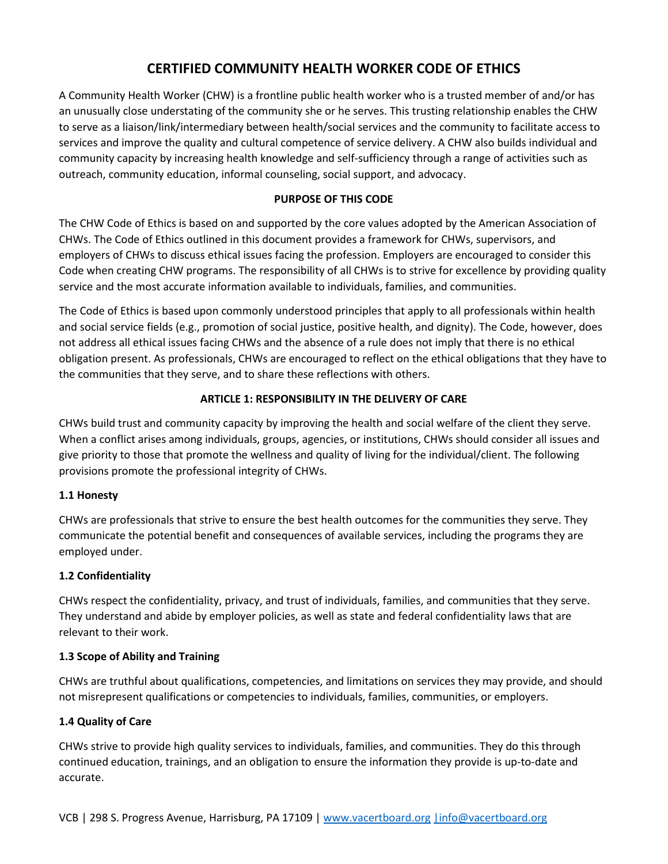# **CERTIFIED COMMUNITY HEALTH WORKER CODE OF ETHICS**

A Community Health Worker (CHW) is a frontline public health worker who is a trusted member of and/or has an unusually close understating of the community she or he serves. This trusting relationship enables the CHW to serve as a liaison/link/intermediary between health/social services and the community to facilitate access to services and improve the quality and cultural competence of service delivery. A CHW also builds individual and community capacity by increasing health knowledge and self-sufficiency through a range of activities such as outreach, community education, informal counseling, social support, and advocacy.

# **PURPOSE OF THIS CODE**

The CHW Code of Ethics is based on and supported by the core values adopted by the American Association of CHWs. The Code of Ethics outlined in this document provides a framework for CHWs, supervisors, and employers of CHWs to discuss ethical issues facing the profession. Employers are encouraged to consider this Code when creating CHW programs. The responsibility of all CHWs is to strive for excellence by providing quality service and the most accurate information available to individuals, families, and communities.

The Code of Ethics is based upon commonly understood principles that apply to all professionals within health and social service fields (e.g., promotion of social justice, positive health, and dignity). The Code, however, does not address all ethical issues facing CHWs and the absence of a rule does not imply that there is no ethical obligation present. As professionals, CHWs are encouraged to reflect on the ethical obligations that they have to the communities that they serve, and to share these reflections with others.

# **ARTICLE 1: RESPONSIBILITY IN THE DELIVERY OF CARE**

CHWs build trust and community capacity by improving the health and social welfare of the client they serve. When a conflict arises among individuals, groups, agencies, or institutions, CHWs should consider all issues and give priority to those that promote the wellness and quality of living for the individual/client. The following provisions promote the professional integrity of CHWs.

# **1.1 Honesty**

CHWs are professionals that strive to ensure the best health outcomes for the communities they serve. They communicate the potential benefit and consequences of available services, including the programs they are employed under.

# **1.2 Confidentiality**

CHWs respect the confidentiality, privacy, and trust of individuals, families, and communities that they serve. They understand and abide by employer policies, as well as state and federal confidentiality laws that are relevant to their work.

#### **1.3 Scope of Ability and Training**

CHWs are truthful about qualifications, competencies, and limitations on services they may provide, and should not misrepresent qualifications or competencies to individuals, families, communities, or employers.

# **1.4 Quality of Care**

CHWs strive to provide high quality services to individuals, families, and communities. They do this through continued education, trainings, and an obligation to ensure the information they provide is up-to-date and accurate.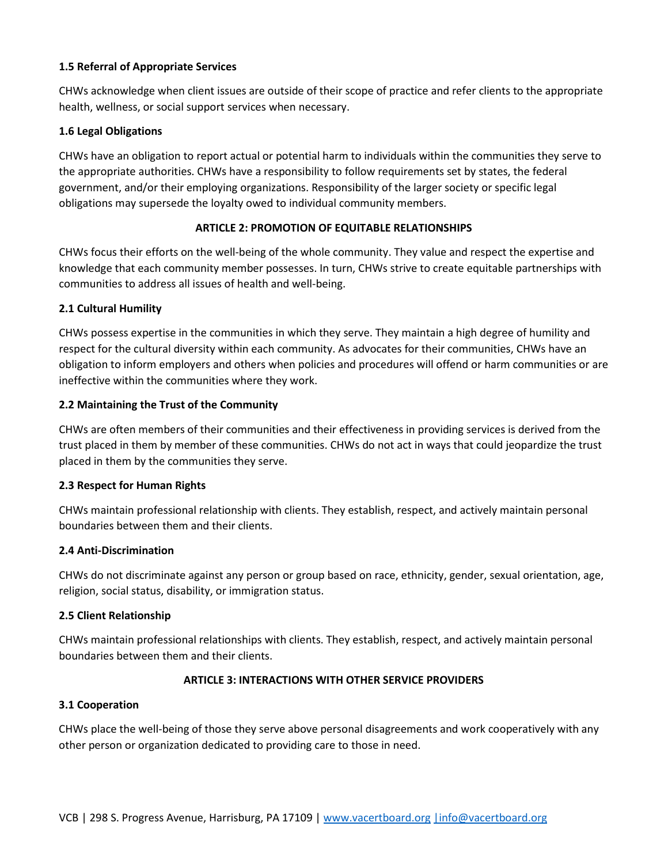### **1.5 Referral of Appropriate Services**

CHWs acknowledge when client issues are outside of their scope of practice and refer clients to the appropriate health, wellness, or social support services when necessary.

#### **1.6 Legal Obligations**

CHWs have an obligation to report actual or potential harm to individuals within the communities they serve to the appropriate authorities. CHWs have a responsibility to follow requirements set by states, the federal government, and/or their employing organizations. Responsibility of the larger society or specific legal obligations may supersede the loyalty owed to individual community members.

### **ARTICLE 2: PROMOTION OF EQUITABLE RELATIONSHIPS**

CHWs focus their efforts on the well-being of the whole community. They value and respect the expertise and knowledge that each community member possesses. In turn, CHWs strive to create equitable partnerships with communities to address all issues of health and well-being.

#### **2.1 Cultural Humility**

CHWs possess expertise in the communities in which they serve. They maintain a high degree of humility and respect for the cultural diversity within each community. As advocates for their communities, CHWs have an obligation to inform employers and others when policies and procedures will offend or harm communities or are ineffective within the communities where they work.

#### **2.2 Maintaining the Trust of the Community**

CHWs are often members of their communities and their effectiveness in providing services is derived from the trust placed in them by member of these communities. CHWs do not act in ways that could jeopardize the trust placed in them by the communities they serve.

#### **2.3 Respect for Human Rights**

CHWs maintain professional relationship with clients. They establish, respect, and actively maintain personal boundaries between them and their clients.

#### **2.4 Anti-Discrimination**

CHWs do not discriminate against any person or group based on race, ethnicity, gender, sexual orientation, age, religion, social status, disability, or immigration status.

#### **2.5 Client Relationship**

CHWs maintain professional relationships with clients. They establish, respect, and actively maintain personal boundaries between them and their clients.

# **ARTICLE 3: INTERACTIONS WITH OTHER SERVICE PROVIDERS**

#### **3.1 Cooperation**

CHWs place the well-being of those they serve above personal disagreements and work cooperatively with any other person or organization dedicated to providing care to those in need.